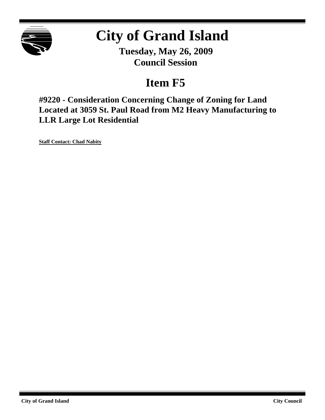

## **City of Grand Island**

**Tuesday, May 26, 2009 Council Session**

## **Item F5**

**#9220 - Consideration Concerning Change of Zoning for Land Located at 3059 St. Paul Road from M2 Heavy Manufacturing to LLR Large Lot Residential**

**Staff Contact: Chad Nabity**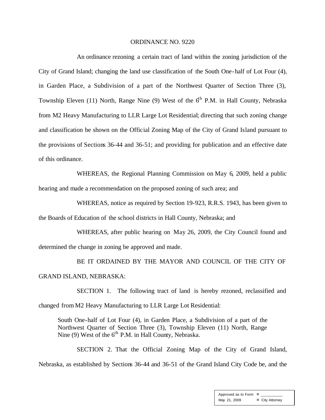## ORDINANCE NO. 9220

An ordinance rezoning a certain tract of land within the zoning jurisdiction of the City of Grand Island; changing the land use classification of the South One-half of Lot Four (4), in Garden Place, a Subdivision of a part of the Northwest Quarter of Section Three (3), Township Eleven (11) North, Range Nine (9) West of the  $6<sup>th</sup>$  P.M. in Hall County, Nebraska from M2 Heavy Manufacturing to LLR Large Lot Residential; directing that such zoning change and classification be shown on the Official Zoning Map of the City of Grand Island pursuant to the provisions of Sections 36-44 and 36-51; and providing for publication and an effective date of this ordinance.

WHEREAS, the Regional Planning Commission on May 6, 2009, held a public hearing and made a recommendation on the proposed zoning of such area; and

WHEREAS, notice as required by Section 19-923, R.R.S. 1943, has been given to the Boards of Education of the school districts in Hall County, Nebraska; and

WHEREAS, after public hearing on May 26, 2009, the City Council found and determined the change in zoning be approved and made.

BE IT ORDAINED BY THE MAYOR AND COUNCIL OF THE CITY OF GRAND ISLAND, NEBRASKA:

SECTION 1. The following tract of land is hereby rezoned, reclassified and changed from M2 Heavy Manufacturing to LLR Large Lot Residential:

South One-half of Lot Four (4), in Garden Place, a Subdivision of a part of the Northwest Quarter of Section Three (3), Township Eleven (11) North, Range Nine (9) West of the  $6<sup>th</sup>$  P.M. in Hall County, Nebraska.

SECTION 2. That the Official Zoning Map of the City of Grand Island, Nebraska, as established by Sections 36-44 and 36-51 of the Grand Island City Code be, and the